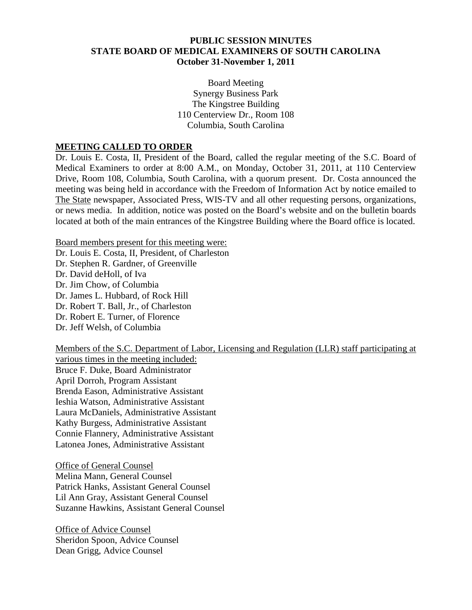#### **PUBLIC SESSION MINUTES STATE BOARD OF MEDICAL EXAMINERS OF SOUTH CAROLINA October 31-November 1, 2011**

Board Meeting Synergy Business Park The Kingstree Building 110 Centerview Dr., Room 108 Columbia, South Carolina

#### **MEETING CALLED TO ORDER**

Dr. Louis E. Costa, II, President of the Board, called the regular meeting of the S.C. Board of Medical Examiners to order at 8:00 A.M., on Monday, October 31, 2011, at 110 Centerview Drive, Room 108, Columbia, South Carolina, with a quorum present. Dr. Costa announced the meeting was being held in accordance with the Freedom of Information Act by notice emailed to The State newspaper, Associated Press, WIS-TV and all other requesting persons, organizations, or news media. In addition, notice was posted on the Board's website and on the bulletin boards located at both of the main entrances of the Kingstree Building where the Board office is located.

Board members present for this meeting were: Dr. Louis E. Costa, II, President, of Charleston Dr. Stephen R. Gardner, of Greenville Dr. David deHoll, of Iva Dr. Jim Chow, of Columbia Dr. James L. Hubbard, of Rock Hill Dr. Robert T. Ball, Jr., of Charleston Dr. Robert E. Turner, of Florence Dr. Jeff Welsh, of Columbia

Members of the S.C. Department of Labor, Licensing and Regulation (LLR) staff participating at various times in the meeting included: Bruce F. Duke, Board Administrator April Dorroh, Program Assistant Brenda Eason, Administrative Assistant Ieshia Watson, Administrative Assistant Laura McDaniels, Administrative Assistant Kathy Burgess, Administrative Assistant Connie Flannery, Administrative Assistant Latonea Jones, Administrative Assistant

Office of General Counsel Melina Mann, General Counsel Patrick Hanks, Assistant General Counsel Lil Ann Gray, Assistant General Counsel Suzanne Hawkins, Assistant General Counsel

Office of Advice Counsel Sheridon Spoon, Advice Counsel Dean Grigg, Advice Counsel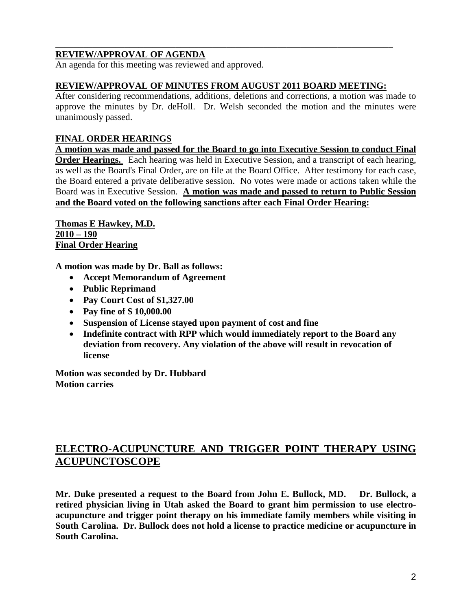### **REVIEW/APPROVAL OF AGENDA**

An agenda for this meeting was reviewed and approved.

#### **REVIEW/APPROVAL OF MINUTES FROM AUGUST 2011 BOARD MEETING:**

\_\_\_\_\_\_\_\_\_\_\_\_\_\_\_\_\_\_\_\_\_\_\_\_\_\_\_\_\_\_\_\_\_\_\_\_\_\_\_\_\_\_\_\_\_\_\_\_\_\_\_\_\_\_\_\_\_\_\_\_\_\_\_\_\_\_\_\_\_\_\_\_\_

After considering recommendations, additions, deletions and corrections, a motion was made to approve the minutes by Dr. deHoll. Dr. Welsh seconded the motion and the minutes were unanimously passed.

### **FINAL ORDER HEARINGS**

**A motion was made and passed for the Board to go into Executive Session to conduct Final Order Hearings.** Each hearing was held in Executive Session, and a transcript of each hearing, as well as the Board's Final Order, are on file at the Board Office. After testimony for each case, the Board entered a private deliberative session. No votes were made or actions taken while the Board was in Executive Session. **A motion was made and passed to return to Public Session and the Board voted on the following sanctions after each Final Order Hearing:**

**Thomas E Hawkey, M.D. 2010 – 190 Final Order Hearing**

**A motion was made by Dr. Ball as follows:**

- **Accept Memorandum of Agreement**
- **Public Reprimand**
- **Pay Court Cost of \$1,327.00**
- **Pay fine of \$ 10,000.00**
- **Suspension of License stayed upon payment of cost and fine**
- **Indefinite contract with RPP which would immediately report to the Board any deviation from recovery. Any violation of the above will result in revocation of license**

**Motion was seconded by Dr. Hubbard Motion carries**

# **ELECTRO-ACUPUNCTURE AND TRIGGER POINT THERAPY USING ACUPUNCTOSCOPE**

**Mr. Duke presented a request to the Board from John E. Bullock, MD. Dr. Bullock, a retired physician living in Utah asked the Board to grant him permission to use electroacupuncture and trigger point therapy on his immediate family members while visiting in South Carolina. Dr. Bullock does not hold a license to practice medicine or acupuncture in South Carolina.**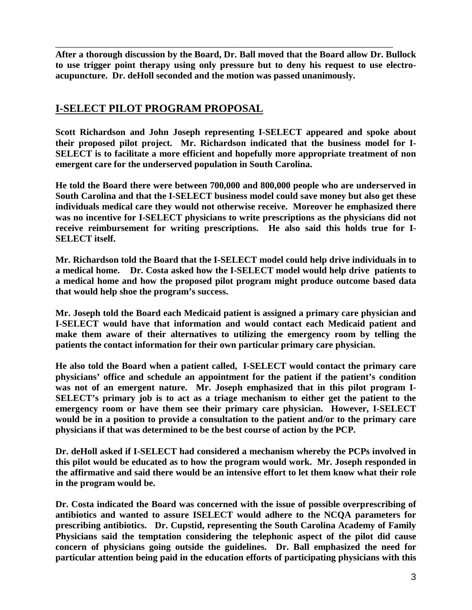**After a thorough discussion by the Board, Dr. Ball moved that the Board allow Dr. Bullock to use trigger point therapy using only pressure but to deny his request to use electroacupuncture. Dr. deHoll seconded and the motion was passed unanimously.**

\_\_\_\_\_\_\_\_\_\_\_\_\_\_\_\_\_\_\_\_\_\_\_\_\_\_\_\_\_\_\_\_\_\_\_\_\_\_\_\_\_\_\_\_\_\_\_\_\_\_\_\_\_\_\_\_\_\_\_\_\_\_\_\_\_\_\_\_\_\_\_\_\_

# **I-SELECT PILOT PROGRAM PROPOSAL**

**Scott Richardson and John Joseph representing I-SELECT appeared and spoke about their proposed pilot project. Mr. Richardson indicated that the business model for I-SELECT is to facilitate a more efficient and hopefully more appropriate treatment of non emergent care for the underserved population in South Carolina.** 

**He told the Board there were between 700,000 and 800,000 people who are underserved in South Carolina and that the I-SELECT business model could save money but also get these individuals medical care they would not otherwise receive. Moreover he emphasized there was no incentive for I-SELECT physicians to write prescriptions as the physicians did not receive reimbursement for writing prescriptions. He also said this holds true for I-SELECT itself.**

**Mr. Richardson told the Board that the I-SELECT model could help drive individuals in to a medical home. Dr. Costa asked how the I-SELECT model would help drive patients to a medical home and how the proposed pilot program might produce outcome based data that would help shoe the program's success.** 

**Mr. Joseph told the Board each Medicaid patient is assigned a primary care physician and I-SELECT would have that information and would contact each Medicaid patient and make them aware of their alternatives to utilizing the emergency room by telling the patients the contact information for their own particular primary care physician.** 

**He also told the Board when a patient called, I-SELECT would contact the primary care physicians' office and schedule an appointment for the patient if the patient's condition was not of an emergent nature. Mr. Joseph emphasized that in this pilot program I-SELECT's primary job is to act as a triage mechanism to either get the patient to the emergency room or have them see their primary care physician. However, I-SELECT would be in a position to provide a consultation to the patient and/or to the primary care physicians if that was determined to be the best course of action by the PCP.**

**Dr. deHoll asked if I-SELECT had considered a mechanism whereby the PCPs involved in this pilot would be educated as to how the program would work. Mr. Joseph responded in the affirmative and said there would be an intensive effort to let them know what their role in the program would be.**

**Dr. Costa indicated the Board was concerned with the issue of possible overprescribing of antibiotics and wanted to assure ISELECT would adhere to the NCQA parameters for prescribing antibiotics. Dr. Cupstid, representing the South Carolina Academy of Family Physicians said the temptation considering the telephonic aspect of the pilot did cause concern of physicians going outside the guidelines. Dr. Ball emphasized the need for particular attention being paid in the education efforts of participating physicians with this**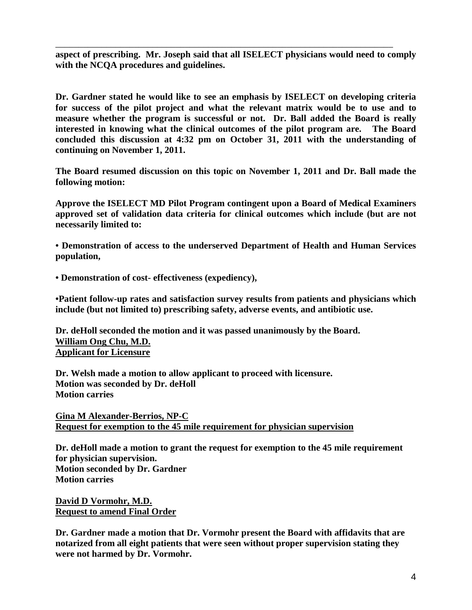**aspect of prescribing. Mr. Joseph said that all ISELECT physicians would need to comply with the NCQA procedures and guidelines.**

\_\_\_\_\_\_\_\_\_\_\_\_\_\_\_\_\_\_\_\_\_\_\_\_\_\_\_\_\_\_\_\_\_\_\_\_\_\_\_\_\_\_\_\_\_\_\_\_\_\_\_\_\_\_\_\_\_\_\_\_\_\_\_\_\_\_\_\_\_\_\_\_\_

**Dr. Gardner stated he would like to see an emphasis by ISELECT on developing criteria for success of the pilot project and what the relevant matrix would be to use and to measure whether the program is successful or not. Dr. Ball added the Board is really interested in knowing what the clinical outcomes of the pilot program are. The Board concluded this discussion at 4:32 pm on October 31, 2011 with the understanding of continuing on November 1, 2011.**

**The Board resumed discussion on this topic on November 1, 2011 and Dr. Ball made the following motion:**

**Approve the ISELECT MD Pilot Program contingent upon a Board of Medical Examiners approved set of validation data criteria for clinical outcomes which include (but are not necessarily limited to:**

**• Demonstration of access to the underserved Department of Health and Human Services population,**

**• Demonstration of cost- effectiveness (expediency),**

**•Patient follow-up rates and satisfaction survey results from patients and physicians which include (but not limited to) prescribing safety, adverse events, and antibiotic use.**

**Dr. deHoll seconded the motion and it was passed unanimously by the Board. William Ong Chu, M.D. Applicant for Licensure**

**Dr. Welsh made a motion to allow applicant to proceed with licensure. Motion was seconded by Dr. deHoll Motion carries**

**Gina M Alexander-Berrios, NP-C Request for exemption to the 45 mile requirement for physician supervision**

**Dr. deHoll made a motion to grant the request for exemption to the 45 mile requirement for physician supervision. Motion seconded by Dr. Gardner Motion carries**

**David D Vormohr, M.D. Request to amend Final Order**

**Dr. Gardner made a motion that Dr. Vormohr present the Board with affidavits that are notarized from all eight patients that were seen without proper supervision stating they were not harmed by Dr. Vormohr.**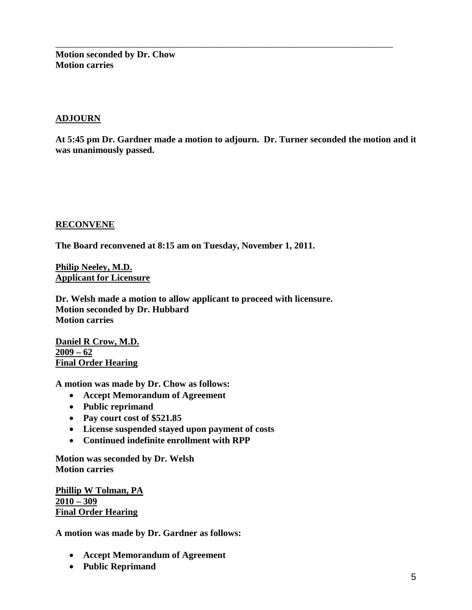**Motion seconded by Dr. Chow Motion carries**

#### **ADJOURN**

**At 5:45 pm Dr. Gardner made a motion to adjourn. Dr. Turner seconded the motion and it was unanimously passed.**

\_\_\_\_\_\_\_\_\_\_\_\_\_\_\_\_\_\_\_\_\_\_\_\_\_\_\_\_\_\_\_\_\_\_\_\_\_\_\_\_\_\_\_\_\_\_\_\_\_\_\_\_\_\_\_\_\_\_\_\_\_\_\_\_\_\_\_\_\_\_\_\_\_

#### **RECONVENE**

**The Board reconvened at 8:15 am on Tuesday, November 1, 2011.**

**Philip Neeley, M.D. Applicant for Licensure**

**Dr. Welsh made a motion to allow applicant to proceed with licensure. Motion seconded by Dr. Hubbard Motion carries**

**Daniel R Crow, M.D. 2009 – 62 Final Order Hearing**

**A motion was made by Dr. Chow as follows:**

- **Accept Memorandum of Agreement**
- **Public reprimand**
- **Pay court cost of \$521.85**
- **License suspended stayed upon payment of costs**
- **Continued indefinite enrollment with RPP**

**Motion was seconded by Dr. Welsh Motion carries**

**Phillip W Tolman, PA 2010 – 309 Final Order Hearing**

**A motion was made by Dr. Gardner as follows:**

- **Accept Memorandum of Agreement**
- **Public Reprimand**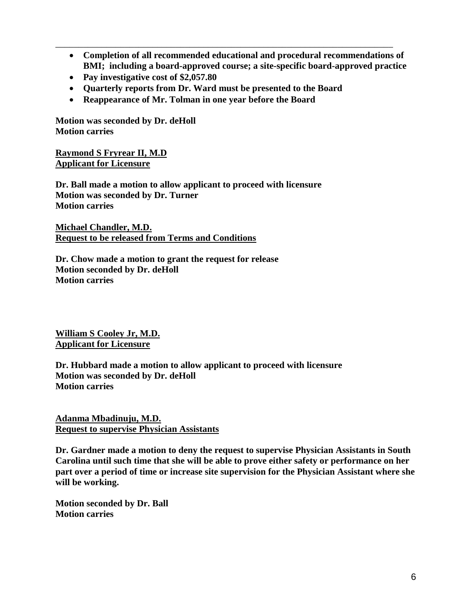• **Completion of all recommended educational and procedural recommendations of BMI; including a board-approved course; a site-specific board-approved practice**

\_\_\_\_\_\_\_\_\_\_\_\_\_\_\_\_\_\_\_\_\_\_\_\_\_\_\_\_\_\_\_\_\_\_\_\_\_\_\_\_\_\_\_\_\_\_\_\_\_\_\_\_\_\_\_\_\_\_\_\_\_\_\_\_\_\_\_\_\_\_\_\_\_

- **Pay investigative cost of \$2,057.80**
- **Quarterly reports from Dr. Ward must be presented to the Board**
- **Reappearance of Mr. Tolman in one year before the Board**

**Motion was seconded by Dr. deHoll Motion carries**

**Raymond S Fryrear II, M.D Applicant for Licensure**

**Dr. Ball made a motion to allow applicant to proceed with licensure Motion was seconded by Dr. Turner Motion carries**

**Michael Chandler, M.D. Request to be released from Terms and Conditions**

**Dr. Chow made a motion to grant the request for release Motion seconded by Dr. deHoll Motion carries**

**William S Cooley Jr, M.D. Applicant for Licensure**

**Dr. Hubbard made a motion to allow applicant to proceed with licensure Motion was seconded by Dr. deHoll Motion carries**

**Adanma Mbadinuju, M.D. Request to supervise Physician Assistants**

**Dr. Gardner made a motion to deny the request to supervise Physician Assistants in South Carolina until such time that she will be able to prove either safety or performance on her part over a period of time or increase site supervision for the Physician Assistant where she will be working.**

**Motion seconded by Dr. Ball Motion carries**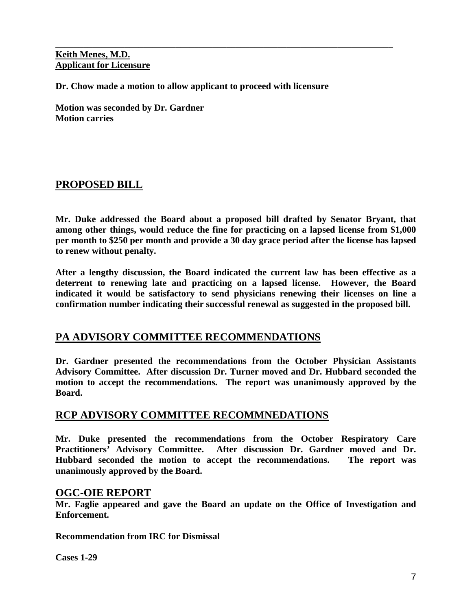#### **Keith Menes, M.D. Applicant for Licensure**

**Dr. Chow made a motion to allow applicant to proceed with licensure**

\_\_\_\_\_\_\_\_\_\_\_\_\_\_\_\_\_\_\_\_\_\_\_\_\_\_\_\_\_\_\_\_\_\_\_\_\_\_\_\_\_\_\_\_\_\_\_\_\_\_\_\_\_\_\_\_\_\_\_\_\_\_\_\_\_\_\_\_\_\_\_\_\_

**Motion was seconded by Dr. Gardner Motion carries**

# **PROPOSED BILL**

**Mr. Duke addressed the Board about a proposed bill drafted by Senator Bryant, that among other things, would reduce the fine for practicing on a lapsed license from \$1,000 per month to \$250 per month and provide a 30 day grace period after the license has lapsed to renew without penalty.**

**After a lengthy discussion, the Board indicated the current law has been effective as a deterrent to renewing late and practicing on a lapsed license. However, the Board indicated it would be satisfactory to send physicians renewing their licenses on line a confirmation number indicating their successful renewal as suggested in the proposed bill.**

# **PA ADVISORY COMMITTEE RECOMMENDATIONS**

**Dr. Gardner presented the recommendations from the October Physician Assistants Advisory Committee. After discussion Dr. Turner moved and Dr. Hubbard seconded the motion to accept the recommendations. The report was unanimously approved by the Board.**

# **RCP ADVISORY COMMITTEE RECOMMNEDATIONS**

**Mr. Duke presented the recommendations from the October Respiratory Care Practitioners' Advisory Committee. After discussion Dr. Gardner moved and Dr. Hubbard seconded the motion to accept the recommendations. The report was unanimously approved by the Board.**

### **OGC-OIE REPORT**

**Mr. Faglie appeared and gave the Board an update on the Office of Investigation and Enforcement.**

**Recommendation from IRC for Dismissal**

**Cases 1-29**